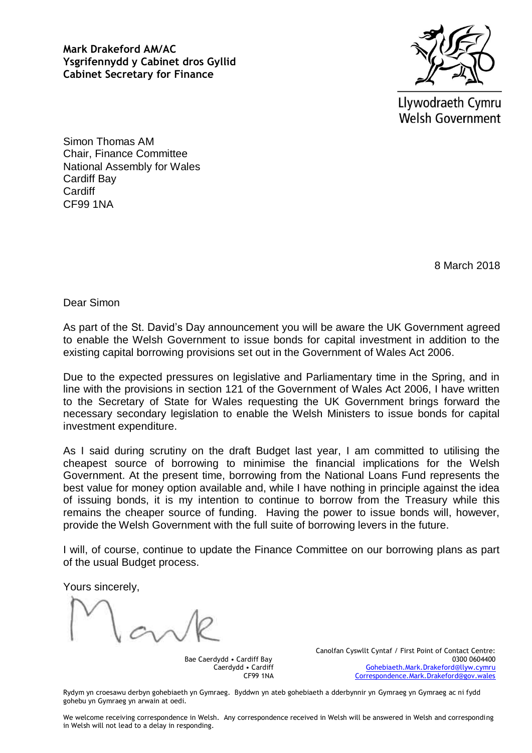**Mark Drakeford AM/AC Ysgrifennydd y Cabinet dros Gyllid Cabinet Secretary for Finance**



Llywodraeth Cymru **Welsh Government** 

Simon Thomas AM Chair, Finance Committee National Assembly for Wales Cardiff Bay **Cardiff** CF99 1NA

8 March 2018

Dear Simon

As part of the St. David's Day announcement you will be aware the UK Government agreed to enable the Welsh Government to issue bonds for capital investment in addition to the existing capital borrowing provisions set out in the Government of Wales Act 2006.

Due to the expected pressures on legislative and Parliamentary time in the Spring, and in line with the provisions in section 121 of the Government of Wales Act 2006, I have written to the Secretary of State for Wales requesting the UK Government brings forward the necessary secondary legislation to enable the Welsh Ministers to issue bonds for capital investment expenditure.

As I said during scrutiny on the draft Budget last year, I am committed to utilising the cheapest source of borrowing to minimise the financial implications for the Welsh Government. At the present time, borrowing from the National Loans Fund represents the best value for money option available and, while I have nothing in principle against the idea of issuing bonds, it is my intention to continue to borrow from the Treasury while this remains the cheaper source of funding. Having the power to issue bonds will, however, provide the Welsh Government with the full suite of borrowing levers in the future.

I will, of course, continue to update the Finance Committee on our borrowing plans as part of the usual Budget process.

Yours sincerely,

Bae Caerdydd • Cardiff Bay Caerdydd • Cardiff CF99 1NA Canolfan Cyswllt Cyntaf / First Point of Contact Centre: 0300 0604400 [Gohebiaeth.Mark.Drakeford@llyw.cymru](mailto:Gohebiaeth.Mark.Drakeford@llyw.cymru) [Correspondence.Mark.Drakeford@gov.wales](mailto:Correspondence.Mark.Drakeford@gov.wales)

Rydym yn croesawu derbyn gohebiaeth yn Gymraeg. Byddwn yn ateb gohebiaeth a dderbynnir yn Gymraeg yn Gymraeg ac ni fydd gohebu yn Gymraeg yn arwain at oedi.

We welcome receiving correspondence in Welsh. Any correspondence received in Welsh will be answered in Welsh and corresponding in Welsh will not lead to a delay in responding.